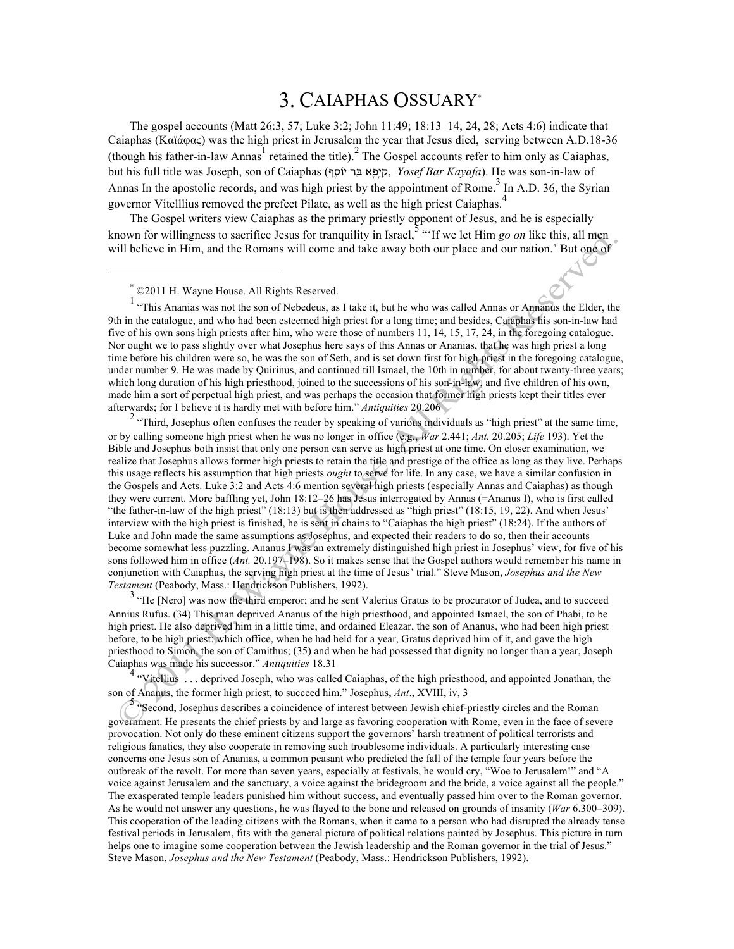## 3. CAIAPHAS OSSUARY<sup>∗</sup>

The gospel accounts (Matt 26:3, 57; Luke 3:2; John 11:49; 18:13–14, 24, 28; Acts 4:6) indicate that Caiaphas (Καϊάφας) was the high priest in Jerusalem the year that Jesus died, serving between A.D.18-36 (though his father-in-law Annas<sup>1</sup> retained the title).<sup>2</sup> The Gospel accounts refer to him only as Caiaphas, but his full title was Joseph, son of Caiaphas (קיפא בּר יוֹסֵף, *Yosef Bar Kayafa*). He was son-in-law of Annas In the apostolic records, and was high priest by the appointment of Rome.<sup>3</sup> In A.D. 36, the Syrian governor Vitelllius removed the prefect Pilate, as well as the high priest Caiaphas.<sup>4</sup>

The Gospel writers view Caiaphas as the primary priestly opponent of Jesus, and he is especially known for willingness to sacrifice Jesus for tranquility in Israel,<sup>5</sup> "If we let Him *go on* like this, all men will believe in Him, and the Romans will come and take away both our place and our nation.' But one of

<sup>∗</sup> ©2011 H. Wayne House. All Rights Reserved.

1

<sup>1</sup> "This Ananias was not the son of Nebedeus, as I take it, but he who was called Annas or Annanus the Elder, the 9th in the catalogue, and who had been esteemed high priest for a long time; and besides, Caiaphas his son-in-law had five of his own sons high priests after him, who were those of numbers 11, 14, 15, 17, 24, in the foregoing catalogue. Nor ought we to pass slightly over what Josephus here says of this Annas or Ananias, that he was high priest a long time before his children were so, he was the son of Seth, and is set down first for high priest in the foregoing catalogue, under number 9. He was made by Quirinus, and continued till Ismael, the 10th in number, for about twenty-three years; which long duration of his high priesthood, joined to the successions of his son-in-law, and five children of his own, made him a sort of perpetual high priest, and was perhaps the occasion that former high priests kept their titles ever afterwards; for I believe it is hardly met with before him." *Antiquities* 20.206

 $2 \text{``Third, Josephus often confuses the reader by speaking of various individuals as "high priest" at the same time,$ or by calling someone high priest when he was no longer in office (e.g., *War* 2.441; *Ant.* 20.205; *Life* 193). Yet the Bible and Josephus both insist that only one person can serve as high priest at one time. On closer examination, we realize that Josephus allows former high priests to retain the title and prestige of the office as long as they live. Perhaps this usage reflects his assumption that high priests *ought* to serve for life. In any case, we have a similar confusion in the Gospels and Acts. Luke 3:2 and Acts 4:6 mention several high priests (especially Annas and Caiaphas) as though they were current. More baffling yet, John 18:12–26 has Jesus interrogated by Annas (=Ananus I), who is first called "the father-in-law of the high priest" (18:13) but is then addressed as "high priest" (18:15, 19, 22). And when Jesus' interview with the high priest is finished, he is sent in chains to "Caiaphas the high priest" (18:24). If the authors of Luke and John made the same assumptions as Josephus, and expected their readers to do so, then their accounts become somewhat less puzzling. Ananus I was an extremely distinguished high priest in Josephus' view, for five of his sons followed him in office (*Ant.* 20.197–198). So it makes sense that the Gospel authors would remember his name in conjunction with Caiaphas, the serving high priest at the time of Jesus' trial." Steve Mason, *Josephus and the New Testament* (Peabody, Mass.: Hendrickson Publishers, 1992).

<sup>3</sup> "He [Nero] was now the third emperor; and he sent Valerius Gratus to be procurator of Judea, and to succeed Annius Rufus. (34) This man deprived Ananus of the high priesthood, and appointed Ismael, the son of Phabi, to be high priest. He also deprived him in a little time, and ordained Eleazar, the son of Ananus, who had been high priest before, to be high priest: which office, when he had held for a year, Gratus deprived him of it, and gave the high priesthood to Simon, the son of Camithus; (35) and when he had possessed that dignity no longer than a year, Joseph Caiaphas was made his successor." *Antiquities* 18.31

<sup>4</sup> "Vitellius ... deprived Joseph, who was called Caiaphas, of the high priesthood, and appointed Jonathan, the son of Ananus, the former high priest, to succeed him." Josephus, *Ant*., XVIII, iv, 3

Second, Josephus describes a coincidence of interest between Jewish chief-priestly circles and the Roman government. He presents the chief priests by and large as favoring cooperation with Rome, even in the face of severe provocation. Not only do these eminent citizens support the governors' harsh treatment of political terrorists and religious fanatics, they also cooperate in removing such troublesome individuals. A particularly interesting case concerns one Jesus son of Ananias, a common peasant who predicted the fall of the temple four years before the outbreak of the revolt. For more than seven years, especially at festivals, he would cry, "Woe to Jerusalem!" and "A voice against Jerusalem and the sanctuary, a voice against the bridegroom and the bride, a voice against all the people." The exasperated temple leaders punished him without success, and eventually passed him over to the Roman governor. As he would not answer any questions, he was flayed to the bone and released on grounds of insanity (*War* 6.300–309). This cooperation of the leading citizens with the Romans, when it came to a person who had disrupted the already tense festival periods in Jerusalem, fits with the general picture of political relations painted by Josephus. This picture in turn helps one to imagine some cooperation between the Jewish leadership and the Roman governor in the trial of Jesus." Steve Mason, *Josephus and the New Testament* (Peabody, Mass.: Hendrickson Publishers, 1992).